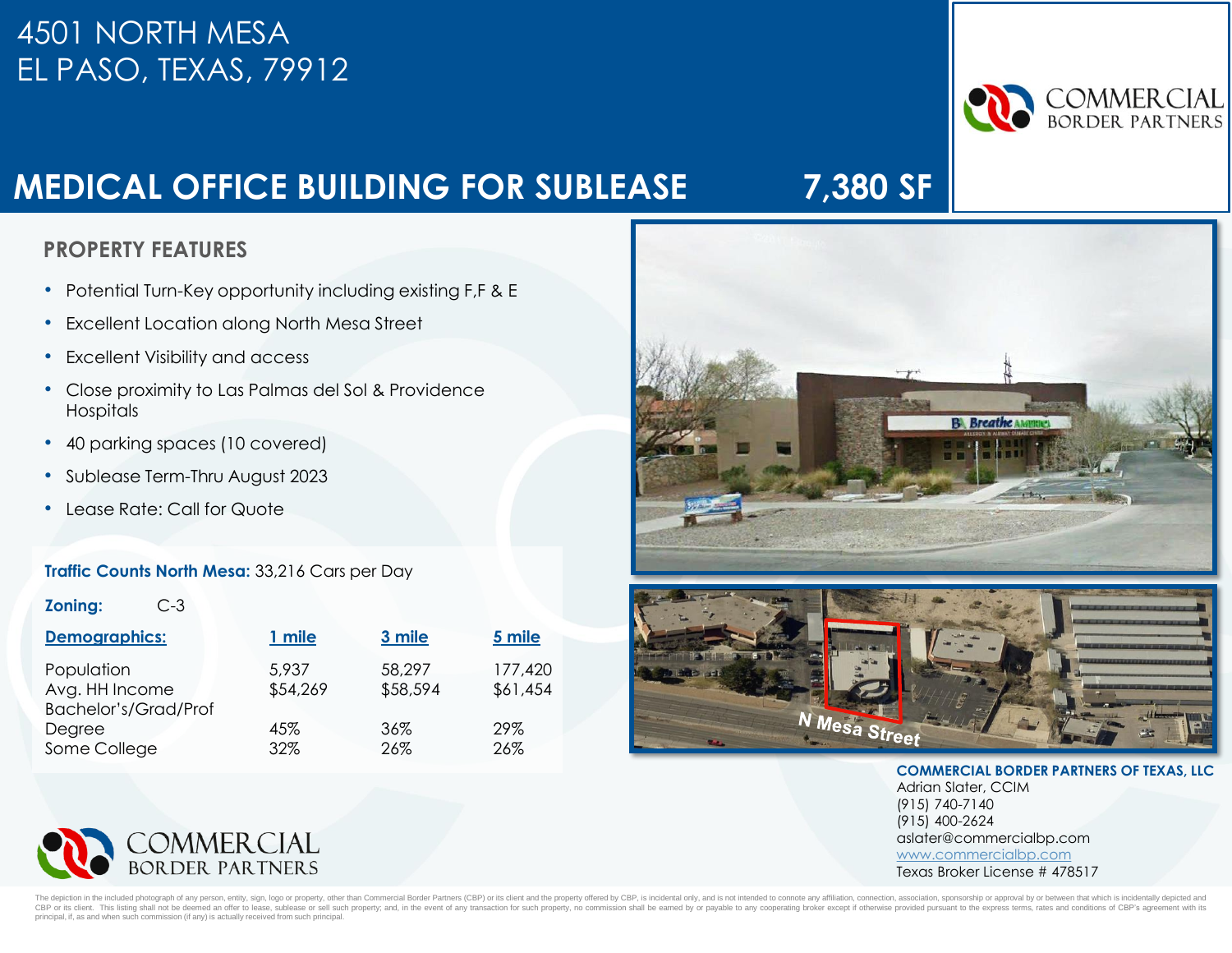## 4501 NORTH MESA EL PASO, TEXAS, 79912



# **MEDICAL OFFICE BUILDING FOR SUBLEASE 7,380 SF**

### **PROPERTY FEATURES PROPERTY FEATURES**

- Potential Turn-Key opportunity including existing F,F & E
- Excellent Location along North Mesa Street
- Excellent Visibility and access
- Close proximity to Las Palmas del Sol & Providence Hospitals
- 40 parking spaces (10 covered)
- Sublease Term-Thru August 2023
- Lease Rate: Call for Quote

#### **Traffic Counts North Mesa:** 33,216 Cars per Day

| <b>Zoning:</b><br>C-3.                                      |                   |                    |                     |
|-------------------------------------------------------------|-------------------|--------------------|---------------------|
| <b>Demographics:</b>                                        | 1 mile            | 3 mile             | 5 mile              |
| Population<br>Avg. HH Income<br><b>Bachelor's/Grad/Prof</b> | 5,937<br>\$54,269 | 58,297<br>\$58,594 | 177,420<br>\$61,454 |
| Degree                                                      | 45%               | 36%                | 29%                 |
| Some College                                                | 32%               | 26%                | 26%                 |









**COMMERCIAL BORDER PARTNERS OF TEXAS, LLC** Adrian Slater, CCIM (915) 740-7140

(915) 400-2624 aslater@commercialbp.com [www.commercialbp.com](http://www.commercialbp.com/) Texas Broker License # 478517